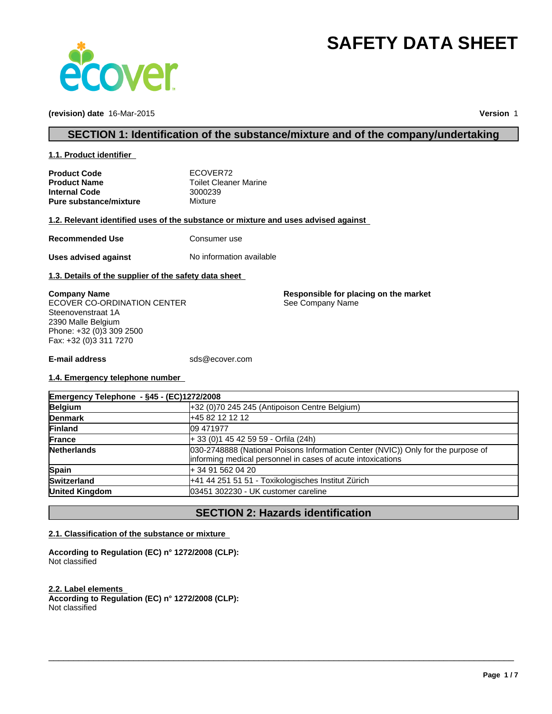# **SAFETY DATA SHEET**



**(revision) date** 16-Mar-2015 **Version** 1

# **SECTION 1: Identification of the substance/mixture and of the company/undertaking**

**1.1. Product identifier** 

| <b>Product Code</b>           | ECOVER72                     |
|-------------------------------|------------------------------|
| <b>Product Name</b>           | <b>Toilet Cleaner Marine</b> |
| Internal Code                 | 3000239                      |
| <b>Pure substance/mixture</b> | Mixture                      |

# **1.2. Relevant identified uses of the substance or mixture and uses advised against**

**Recommended Use** Consumer use

**Uses advised against** No information available

# **1.3. Details of the supplier of the safety data sheet**

**Company Name** ECOVER CO-ORDINATION CENTER Steenovenstraat 1A 2390 Malle Belgium Phone: +32 (0)3 309 2500 Fax: +32 (0)3 311 7270

See Company Name

**Responsible for placing on the market**

**E-mail address** sds@ecover.com

# **1.4. Emergency telephone number**

| Emergency Telephone - §45 - (EC)1272/2008 |                                                                                                                                                 |  |  |
|-------------------------------------------|-------------------------------------------------------------------------------------------------------------------------------------------------|--|--|
| <b>Belgium</b>                            | $+32$ (0)70 245 245 (Antipoison Centre Belgium)                                                                                                 |  |  |
| Denmark                                   | +45 82 12 12 12                                                                                                                                 |  |  |
| Finland                                   | 09 471977                                                                                                                                       |  |  |
| France                                    | + 33 (0)1 45 42 59 59 - Orfila (24h)                                                                                                            |  |  |
| Netherlands                               | 030-2748888 (National Poisons Information Center (NVIC)) Only for the purpose of<br>informing medical personnel in cases of acute intoxications |  |  |
| Spain                                     | + 34 91 562 04 20                                                                                                                               |  |  |
| Switzerland                               | +41 44 251 51 51 - Toxikologisches Institut Zürich                                                                                              |  |  |
| <b>United Kingdom</b>                     | 03451 302230 - UK customer careline                                                                                                             |  |  |

# **SECTION 2: Hazards identification**

# **2.1. Classification of the substance or mixture**

**According to Regulation (EC) n° 1272/2008 (CLP):** Not classified

2.2. Label elements<br>According to Regulation (EC) n° 1272/2008 (CLP): \_\_\_\_\_\_\_\_\_\_\_\_\_\_\_\_\_\_\_\_\_\_\_\_\_\_\_\_\_\_\_\_\_\_\_\_\_\_\_\_\_\_\_\_\_\_\_\_\_\_\_\_\_\_\_\_\_\_\_\_\_\_\_\_\_\_\_\_\_\_\_\_\_\_\_\_\_\_\_\_\_\_\_\_\_\_\_\_\_\_\_\_\_ **According to Regulation (EC) n° 1272/2008 (CLP):** Not classified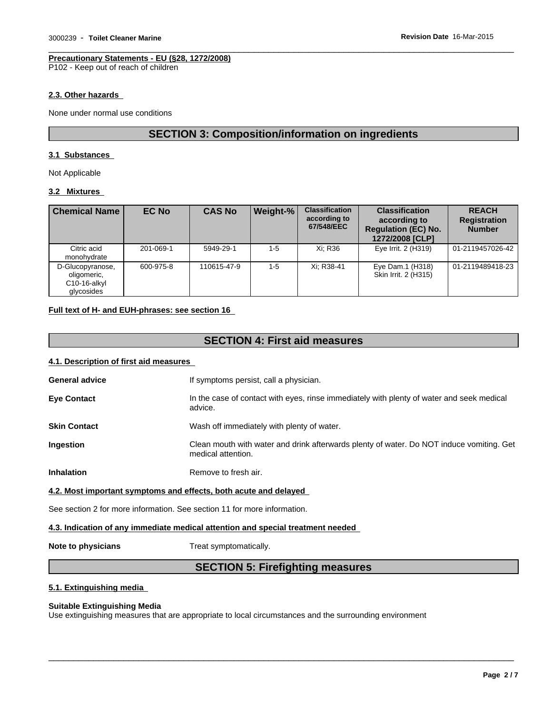# **Precautionary Statements - EU (§28, 1272/2008)**

P102 - Keep out of reach of children

## **2.3. Other hazards**

None under normal use conditions

# **SECTION 3: Composition/information on ingredients**

 $\overline{\phantom{a}}$  ,  $\overline{\phantom{a}}$  ,  $\overline{\phantom{a}}$  ,  $\overline{\phantom{a}}$  ,  $\overline{\phantom{a}}$  ,  $\overline{\phantom{a}}$  ,  $\overline{\phantom{a}}$  ,  $\overline{\phantom{a}}$  ,  $\overline{\phantom{a}}$  ,  $\overline{\phantom{a}}$  ,  $\overline{\phantom{a}}$  ,  $\overline{\phantom{a}}$  ,  $\overline{\phantom{a}}$  ,  $\overline{\phantom{a}}$  ,  $\overline{\phantom{a}}$  ,  $\overline{\phantom{a}}$ 

# **3.1 Substances**

Not Applicable

# **3.2 Mixtures**

| <b>Chemical Name</b>                                             | <b>EC No</b> | <b>CAS No</b> | Weight-% | <b>Classification</b><br>according to<br>67/548/EEC | <b>Classification</b><br>according to<br><b>Regulation (EC) No.</b><br>1272/2008 [CLP] | <b>REACH</b><br><b>Registration</b><br><b>Number</b> |
|------------------------------------------------------------------|--------------|---------------|----------|-----------------------------------------------------|----------------------------------------------------------------------------------------|------------------------------------------------------|
| Citric acid<br>monohydrate                                       | 201-069-1    | 5949-29-1     | $1 - 5$  | Xi: R36                                             | Eye Irrit. 2 (H319)                                                                    | 01-2119457026-42                                     |
| D-Glucopyranose,<br>oligomeric,<br>$C10-16$ -alkyl<br>glycosides | 600-975-8    | 110615-47-9   | $1 - 5$  | Xi: R38-41                                          | Eye Dam.1 (H318)<br>Skin Irrit. 2 (H315)                                               | 01-2119489418-23                                     |

# **Full text of H- and EUH-phrases: see section 16**

# **SECTION 4: First aid measures**

# **4.1. Description of first aid measures**

General advice **If** symptoms persist, call a physician. **Eye Contact** In the case of contact with eyes, rinse immediately with plenty of water and seek medical advice. **Skin Contact** Wash off immediately with plenty of water. **Ingestion Example 2** Clean mouth with water and drink afterwards plenty of water. Do NOT induce vomiting. Get medical attention.

**Inhalation** Remove to fresh air.

# **4.2. Most important symptoms and effects, both acute and delayed**

See section 2 for more information. See section 11 for more information.

# **4.3. Indication of any immediate medical attention and special treatment needed**

**Note to physicians** Treat symptomatically.

# **SECTION 5: Firefighting measures**

 $\overline{\phantom{a}}$  ,  $\overline{\phantom{a}}$  ,  $\overline{\phantom{a}}$  ,  $\overline{\phantom{a}}$  ,  $\overline{\phantom{a}}$  ,  $\overline{\phantom{a}}$  ,  $\overline{\phantom{a}}$  ,  $\overline{\phantom{a}}$  ,  $\overline{\phantom{a}}$  ,  $\overline{\phantom{a}}$  ,  $\overline{\phantom{a}}$  ,  $\overline{\phantom{a}}$  ,  $\overline{\phantom{a}}$  ,  $\overline{\phantom{a}}$  ,  $\overline{\phantom{a}}$  ,  $\overline{\phantom{a}}$ 

# **5.1. Extinguishing media**

#### **Suitable Extinguishing Media**

Use extinguishing measures that are appropriate to local circumstances and the surrounding environment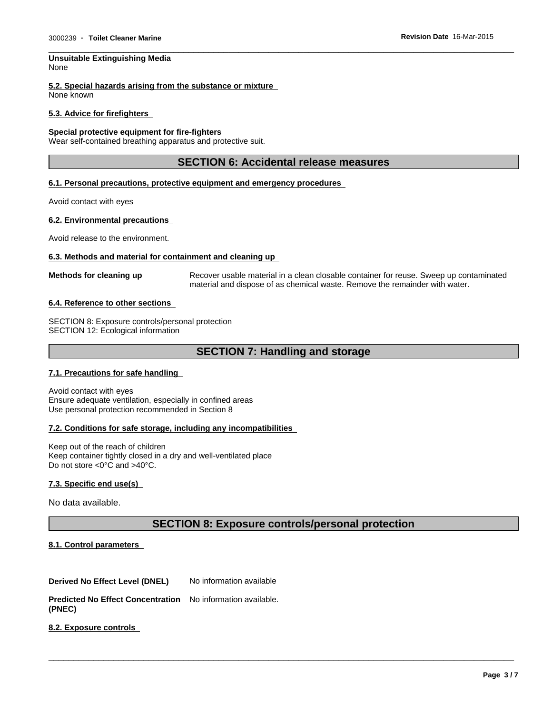# **Unsuitable Extinguishing Media**

None

#### **5.2. Special hazards arising from the substance or mixture**

None known

### **5.3. Advice for firefighters**

# **Special protective equipment for fire-fighters**

Wear self-contained breathing apparatus and protective suit.

# **SECTION 6: Accidental release measures**

 $\overline{\phantom{a}}$  ,  $\overline{\phantom{a}}$  ,  $\overline{\phantom{a}}$  ,  $\overline{\phantom{a}}$  ,  $\overline{\phantom{a}}$  ,  $\overline{\phantom{a}}$  ,  $\overline{\phantom{a}}$  ,  $\overline{\phantom{a}}$  ,  $\overline{\phantom{a}}$  ,  $\overline{\phantom{a}}$  ,  $\overline{\phantom{a}}$  ,  $\overline{\phantom{a}}$  ,  $\overline{\phantom{a}}$  ,  $\overline{\phantom{a}}$  ,  $\overline{\phantom{a}}$  ,  $\overline{\phantom{a}}$ 

### **6.1. Personal precautions, protective equipment and emergency procedures**

Avoid contact with eyes

#### **6.2. Environmental precautions**

Avoid release to the environment.

#### **6.3. Methods and material for containment and cleaning up**

**Methods for cleaning up** Recover usable material in a clean closable container for reuse. Sweep up contaminated material and dispose of as chemical waste. Remove the remainder with water.

# **6.4. Reference to other sections**

SECTION 8: Exposure controls/personal protection SECTION 12: Ecological information

# **SECTION 7: Handling and storage**

# **7.1. Precautions for safe handling**

Avoid contact with eyes Ensure adequate ventilation, especially in confined areas Use personal protection recommended in Section 8

#### **7.2. Conditions for safe storage, including any incompatibilities**

Keep out of the reach of children Keep container tightly closed in a dry and well-ventilated place Do not store <0°C and >40°C.

# **7.3. Specific end use(s)**

No data available.

# **SECTION 8: Exposure controls/personal protection**

 $\overline{\phantom{a}}$  ,  $\overline{\phantom{a}}$  ,  $\overline{\phantom{a}}$  ,  $\overline{\phantom{a}}$  ,  $\overline{\phantom{a}}$  ,  $\overline{\phantom{a}}$  ,  $\overline{\phantom{a}}$  ,  $\overline{\phantom{a}}$  ,  $\overline{\phantom{a}}$  ,  $\overline{\phantom{a}}$  ,  $\overline{\phantom{a}}$  ,  $\overline{\phantom{a}}$  ,  $\overline{\phantom{a}}$  ,  $\overline{\phantom{a}}$  ,  $\overline{\phantom{a}}$  ,  $\overline{\phantom{a}}$ 

# **8.1. Control parameters**

**Derived No Effect Level (DNEL)** No information available

**Predicted No Effect Concentration (PNEC)** No information available.

**8.2. Exposure controls**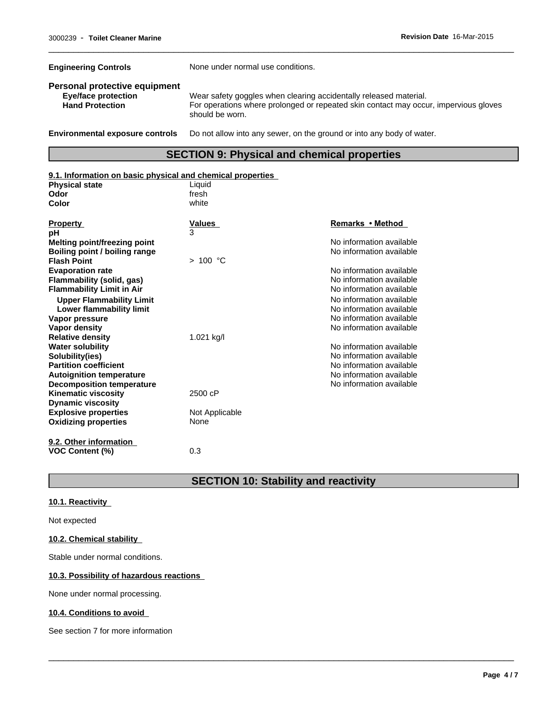| <b>Engineering Controls</b>                                                           | None under normal use conditions.                                                                                                                                            |
|---------------------------------------------------------------------------------------|------------------------------------------------------------------------------------------------------------------------------------------------------------------------------|
| Personal protective equipment<br><b>Eye/face protection</b><br><b>Hand Protection</b> | Wear safety goggles when clearing accidentally released material.<br>For operations where prolonged or repeated skin contact may occur, impervious gloves<br>should be worn. |
| <b>Environmental exposure controls</b>                                                | Do not allow into any sewer, on the ground or into any body of water.                                                                                                        |

 $\overline{\phantom{a}}$  ,  $\overline{\phantom{a}}$  ,  $\overline{\phantom{a}}$  ,  $\overline{\phantom{a}}$  ,  $\overline{\phantom{a}}$  ,  $\overline{\phantom{a}}$  ,  $\overline{\phantom{a}}$  ,  $\overline{\phantom{a}}$  ,  $\overline{\phantom{a}}$  ,  $\overline{\phantom{a}}$  ,  $\overline{\phantom{a}}$  ,  $\overline{\phantom{a}}$  ,  $\overline{\phantom{a}}$  ,  $\overline{\phantom{a}}$  ,  $\overline{\phantom{a}}$  ,  $\overline{\phantom{a}}$ 

# **SECTION 9: Physical and chemical properties**

| 9.1. Information on basic physical and chemical properties |                |                          |
|------------------------------------------------------------|----------------|--------------------------|
| <b>Physical state</b>                                      | Liquid         |                          |
| Odor                                                       | fresh          |                          |
| Color                                                      | white          |                          |
| <b>Property</b>                                            | Values         | Remarks • Method         |
| рH                                                         | 3              |                          |
| <b>Melting point/freezing point</b>                        |                | No information available |
| Boiling point / boiling range                              |                | No information available |
| <b>Flash Point</b>                                         | > 100 °C       |                          |
| <b>Evaporation rate</b>                                    |                | No information available |
| Flammability (solid, gas)                                  |                | No information available |
| <b>Flammability Limit in Air</b>                           |                | No information available |
| <b>Upper Flammability Limit</b>                            |                | No information available |
| Lower flammability limit                                   |                | No information available |
| Vapor pressure                                             |                | No information available |
| <b>Vapor density</b>                                       |                | No information available |
| <b>Relative density</b>                                    | 1.021 kg/l     |                          |
| <b>Water solubility</b>                                    |                | No information available |
| Solubility(ies)                                            |                | No information available |
| <b>Partition coefficient</b>                               |                | No information available |
| <b>Autoignition temperature</b>                            |                | No information available |
| <b>Decomposition temperature</b>                           |                | No information available |
| <b>Kinematic viscosity</b>                                 | 2500 cP        |                          |
| <b>Dynamic viscosity</b>                                   |                |                          |
| <b>Explosive properties</b>                                | Not Applicable |                          |
| <b>Oxidizing properties</b>                                | None           |                          |
| 9.2. Other information                                     |                |                          |
| <b>VOC Content (%)</b>                                     | 0.3            |                          |

# **SECTION 10: Stability and reactivity**

 $\overline{\phantom{a}}$  ,  $\overline{\phantom{a}}$  ,  $\overline{\phantom{a}}$  ,  $\overline{\phantom{a}}$  ,  $\overline{\phantom{a}}$  ,  $\overline{\phantom{a}}$  ,  $\overline{\phantom{a}}$  ,  $\overline{\phantom{a}}$  ,  $\overline{\phantom{a}}$  ,  $\overline{\phantom{a}}$  ,  $\overline{\phantom{a}}$  ,  $\overline{\phantom{a}}$  ,  $\overline{\phantom{a}}$  ,  $\overline{\phantom{a}}$  ,  $\overline{\phantom{a}}$  ,  $\overline{\phantom{a}}$ 

# **10.1. Reactivity**

Not expected

# **10.2. Chemical stability**

Stable under normal conditions.

# **10.3. Possibility of hazardous reactions**

None under normal processing.

# **10.4. Conditions to avoid**

See section 7 for more information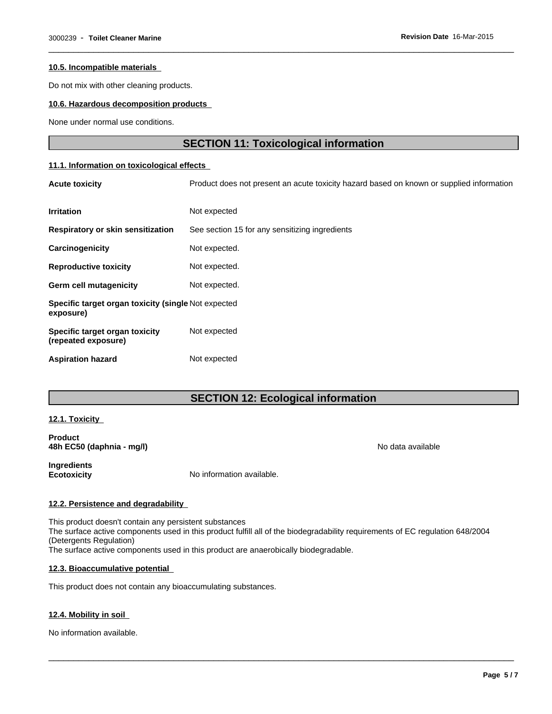#### **10.5. Incompatible materials**

Do not mix with other cleaning products.

# **10.6. Hazardous decomposition products**

None under normal use conditions.

# **SECTION 11: Toxicological information**

 $\overline{\phantom{a}}$  ,  $\overline{\phantom{a}}$  ,  $\overline{\phantom{a}}$  ,  $\overline{\phantom{a}}$  ,  $\overline{\phantom{a}}$  ,  $\overline{\phantom{a}}$  ,  $\overline{\phantom{a}}$  ,  $\overline{\phantom{a}}$  ,  $\overline{\phantom{a}}$  ,  $\overline{\phantom{a}}$  ,  $\overline{\phantom{a}}$  ,  $\overline{\phantom{a}}$  ,  $\overline{\phantom{a}}$  ,  $\overline{\phantom{a}}$  ,  $\overline{\phantom{a}}$  ,  $\overline{\phantom{a}}$ 

# **11.1. Information on toxicological effects**

| <b>Acute toxicity</b>                                            | Product does not present an acute toxicity hazard based on known or supplied information |
|------------------------------------------------------------------|------------------------------------------------------------------------------------------|
| <b>Irritation</b>                                                | Not expected                                                                             |
| Respiratory or skin sensitization                                | See section 15 for any sensitizing ingredients                                           |
| Carcinogenicity                                                  | Not expected.                                                                            |
| <b>Reproductive toxicity</b>                                     | Not expected.                                                                            |
| Germ cell mutagenicity                                           | Not expected.                                                                            |
| Specific target organ toxicity (single Not expected<br>exposure) |                                                                                          |
| Specific target organ toxicity<br>(repeated exposure)            | Not expected                                                                             |
| <b>Aspiration hazard</b>                                         | Not expected                                                                             |

# **SECTION 12: Ecological information**

**12.1. Toxicity** 

**Product 48h EC50 (daphnia - mg/l)** and a set of the set of the set of the set of the No data available

**Ingredients**

**Ecotoxicity Example 2018** No information available.

# **12.2. Persistence and degradability**

This product doesn't contain any persistent substances The surface active components used in this product fulfill all of the biodegradability requirements of EC regulation 648/2004 (Detergents Regulation) The surface active components used in this product are anaerobically biodegradable.

 $\overline{\phantom{a}}$  ,  $\overline{\phantom{a}}$  ,  $\overline{\phantom{a}}$  ,  $\overline{\phantom{a}}$  ,  $\overline{\phantom{a}}$  ,  $\overline{\phantom{a}}$  ,  $\overline{\phantom{a}}$  ,  $\overline{\phantom{a}}$  ,  $\overline{\phantom{a}}$  ,  $\overline{\phantom{a}}$  ,  $\overline{\phantom{a}}$  ,  $\overline{\phantom{a}}$  ,  $\overline{\phantom{a}}$  ,  $\overline{\phantom{a}}$  ,  $\overline{\phantom{a}}$  ,  $\overline{\phantom{a}}$ 

#### **12.3. Bioaccumulative potential**

This product does not contain any bioaccumulating substances.

# **12.4. Mobility in soil**

No information available.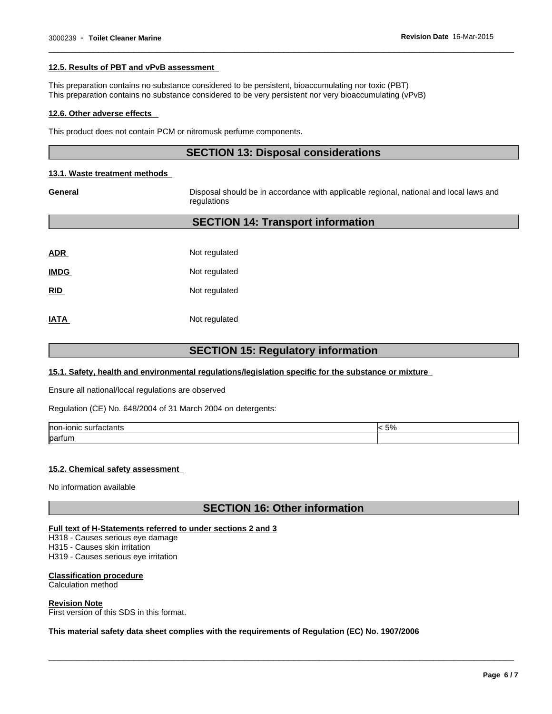#### **12.5. Results of PBT and vPvB assessment**

This preparation contains no substance considered to be persistent, bioaccumulating nor toxic (PBT) This preparation contains no substance considered to be very persistent nor very bioaccumulating (vPvB)

#### **12.6. Other adverse effects**

This product does not contain PCM or nitromusk perfume components.

# **SECTION 13: Disposal considerations**

 $\overline{\phantom{a}}$  ,  $\overline{\phantom{a}}$  ,  $\overline{\phantom{a}}$  ,  $\overline{\phantom{a}}$  ,  $\overline{\phantom{a}}$  ,  $\overline{\phantom{a}}$  ,  $\overline{\phantom{a}}$  ,  $\overline{\phantom{a}}$  ,  $\overline{\phantom{a}}$  ,  $\overline{\phantom{a}}$  ,  $\overline{\phantom{a}}$  ,  $\overline{\phantom{a}}$  ,  $\overline{\phantom{a}}$  ,  $\overline{\phantom{a}}$  ,  $\overline{\phantom{a}}$  ,  $\overline{\phantom{a}}$ 

#### **13.1. Waste treatment methods**

| General     | Disposal should be in accordance with applicable regional, national and local laws and<br>regulations |
|-------------|-------------------------------------------------------------------------------------------------------|
|             | <b>SECTION 14: Transport information</b>                                                              |
|             |                                                                                                       |
| <b>ADR</b>  | Not regulated                                                                                         |
| <b>IMDG</b> | Not regulated                                                                                         |
| <u>RID</u>  | Not regulated                                                                                         |
| <b>ATAI</b> | Not regulated                                                                                         |

# **SECTION 15: Regulatory information**

# **15.1. Safety, health and environmental regulations/legislation specific for the substance or mixture**

Ensure all national/local regulations are observed

Regulation (CE) No. 648/2004 of 31 March 2004 on detergents:

| <b>non-ionic</b> | E <sub>0</sub><br>. .<br><b>U</b> 70 |
|------------------|--------------------------------------|
| loarfun.         |                                      |

## **15.2. Chemical safety assessment**

No information available

# **SECTION 16: Other information**

 $\overline{\phantom{a}}$  ,  $\overline{\phantom{a}}$  ,  $\overline{\phantom{a}}$  ,  $\overline{\phantom{a}}$  ,  $\overline{\phantom{a}}$  ,  $\overline{\phantom{a}}$  ,  $\overline{\phantom{a}}$  ,  $\overline{\phantom{a}}$  ,  $\overline{\phantom{a}}$  ,  $\overline{\phantom{a}}$  ,  $\overline{\phantom{a}}$  ,  $\overline{\phantom{a}}$  ,  $\overline{\phantom{a}}$  ,  $\overline{\phantom{a}}$  ,  $\overline{\phantom{a}}$  ,  $\overline{\phantom{a}}$ 

#### **Full text of H-Statements referred to under sections 2 and 3**

H318 - Causes serious eye damage H315 - Causes skin irritation H319 - Causes serious eye irritation

# **Classification procedure**

Calculation method

#### **Revision Note**

First version of this SDS in this format.

#### **This material safety data sheet complies with the requirements of Regulation (EC) No. 1907/2006**